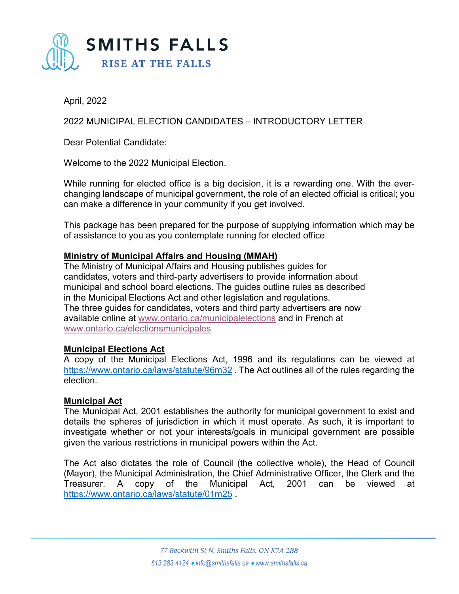

April, 2022

2022 MUNICIPAL ELECTION CANDIDATES – INTRODUCTORY LETTER

Dear Potential Candidate:

Welcome to the 2022 Municipal Election.

While running for elected office is a big decision, it is a rewarding one. With the everchanging landscape of municipal government, the role of an elected official is critical; you can make a difference in your community if you get involved.

This package has been prepared for the purpose of supplying information which may be of assistance to you as you contemplate running for elected office.

# **Ministry of Municipal Affairs and Housing (MMAH)**

The Ministry of Municipal Affairs and Housing publishes guides for candidates, voters and third-party advertisers to provide information about municipal and school board elections. The guides outline rules as described in the Municipal Elections Act and other legislation and regulations. The three guides for candidates, voters and third party advertisers are now available online at [www.ontario.ca/municipalelections](https://linkprotect.cudasvc.com/url?a=http%3a%2f%2fwww.ontario.ca%2fmunicipalelections&c=E,1,xhv3kSYh_zFmigqPiUhprhBczvMrLEwDGFrtGlI5abbDM4xWQ3u8ShNquKEs5bQMOkHoKRwcboeA3CVNqmbomIrOEiYHq4F5YmYJzvWQXGvh4Y4OD1zunohoRg,,&typo=1) and in French at [www.ontario.ca/electionsmunicipales](https://linkprotect.cudasvc.com/url?a=http%3a%2f%2fwww.ontario.ca%2felectionsmunicipales&c=E,1,yDx4EPTcAGntv4QCs7AEaQJnriEyxaGVvMZejwsNT-B4wu-VtiWgH9iLSt_DZz5e_eE73FcJOmxi3NBQ8xAvXA-dS6UIYFBsSArU4FC7_g6uquWW&typo=1)

# **Municipal Elections Act**

A copy of the Municipal Elections Act, 1996 and its regulations can be viewed at <https://www.ontario.ca/laws/statute/96m32> . The Act outlines all of the rules regarding the election.

### **Municipal Act**

The Municipal Act, 2001 establishes the authority for municipal government to exist and details the spheres of jurisdiction in which it must operate. As such, it is important to investigate whether or not your interests/goals in municipal government are possible given the various restrictions in municipal powers within the Act.

The Act also dictates the role of Council (the collective whole), the Head of Council (Mayor), the Municipal Administration, the Chief Administrative Officer, the Clerk and the Treasurer. A copy of the Municipal Act, 2001 can be viewed at <https://www.ontario.ca/laws/statute/01m25> .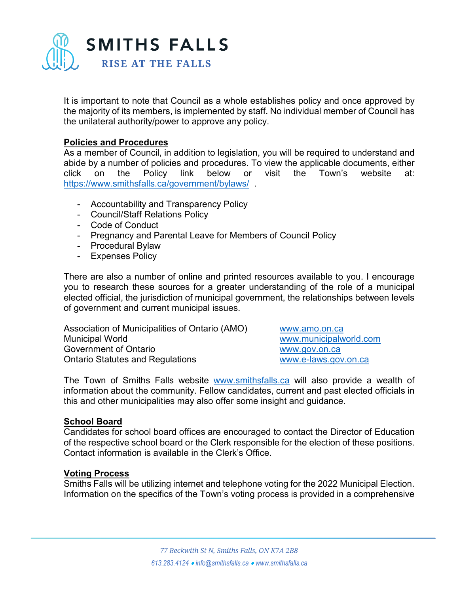

It is important to note that Council as a whole establishes policy and once approved by the majority of its members, is implemented by staff. No individual member of Council has the unilateral authority/power to approve any policy.

### **Policies and Procedures**

As a member of Council, in addition to legislation, you will be required to understand and abide by a number of policies and procedures. To view the applicable documents, either click on the Policy link below or visit the Town's website at: <https://www.smithsfalls.ca/government/bylaws/> .

- Accountability and Transparency Policy
- Council/Staff Relations Policy
- Code of Conduct
- Pregnancy and Parental Leave for Members of Council Policy
- Procedural Bylaw
- Expenses Policy

There are also a number of online and printed resources available to you. I encourage you to research these sources for a greater understanding of the role of a municipal elected official, the jurisdiction of municipal government, the relationships between levels of government and current municipal issues.

Association of Municipalities of Ontario (AMO) [www.amo.on.ca](http://www.amo.on.ca/) Municipal World [www.municipalworld.com](http://www.municipalworld.com/) Government of Ontario [www.gov.on.ca](http://www.gov.on.ca/) Ontario Statutes and Regulations [www.e-laws.gov.on.ca](http://www.e-laws.gov.on.ca/)

The Town of Smiths Falls website [www.smithsfalls.ca](http://www.smithsfalls.ca/) will also provide a wealth of information about the community. Fellow candidates, current and past elected officials in this and other municipalities may also offer some insight and guidance.

### **School Board**

Candidates for school board offices are encouraged to contact the Director of Education of the respective school board or the Clerk responsible for the election of these positions. Contact information is available in the Clerk's Office.

### **Voting Process**

Smiths Falls will be utilizing internet and telephone voting for the 2022 Municipal Election. Information on the specifics of the Town's voting process is provided in a comprehensive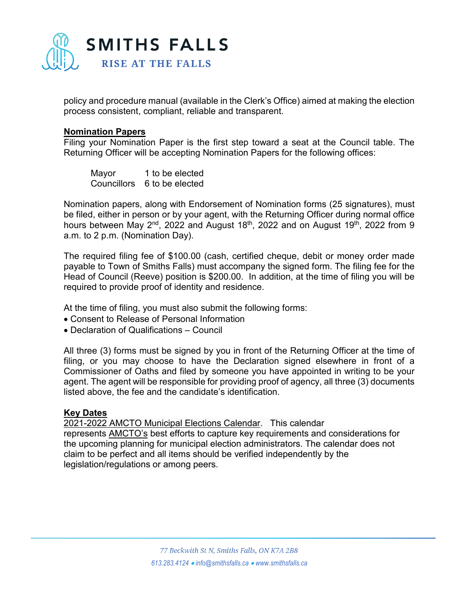

policy and procedure manual (available in the Clerk's Office) aimed at making the election process consistent, compliant, reliable and transparent.

#### **Nomination Papers**

Filing your Nomination Paper is the first step toward a seat at the Council table. The Returning Officer will be accepting Nomination Papers for the following offices:

| Mayor | 1 to be elected             |
|-------|-----------------------------|
|       | Councillors 6 to be elected |

Nomination papers, along with Endorsement of Nomination forms (25 signatures), must be filed, either in person or by your agent, with the Returning Officer during normal office hours between May 2<sup>nd</sup>, 2022 and August 18<sup>th</sup>, 2022 and on August 19<sup>th</sup>, 2022 from 9 a.m. to 2 p.m. (Nomination Day).

The required filing fee of \$100.00 (cash, certified cheque, debit or money order made payable to Town of Smiths Falls) must accompany the signed form. The filing fee for the Head of Council (Reeve) position is \$200.00. In addition, at the time of filing you will be required to provide proof of identity and residence.

At the time of filing, you must also submit the following forms:

- Consent to Release of Personal Information
- Declaration of Qualifications Council

All three (3) forms must be signed by you in front of the Returning Officer at the time of filing, or you may choose to have the Declaration signed elsewhere in front of a Commissioner of Oaths and filed by someone you have appointed in writing to be your agent. The agent will be responsible for providing proof of agency, all three (3) documents listed above, the fee and the candidate's identification.

#### **Key Dates**

[2021-2022 AMCTO Municipal Elections Calendar.](https://www.amcto.com/getmedia/56332090-a0d6-46b1-b875-05fa5742e23e/AMCTO_ElectionsCalendar_V4-Feb22-compressed.aspx) This calendar represents [AMCTO's](https://www.amcto.com/) best efforts to capture key requirements and considerations for the upcoming planning for municipal election administrators. The calendar does not claim to be perfect and all items should be verified independently by the legislation/regulations or among peers.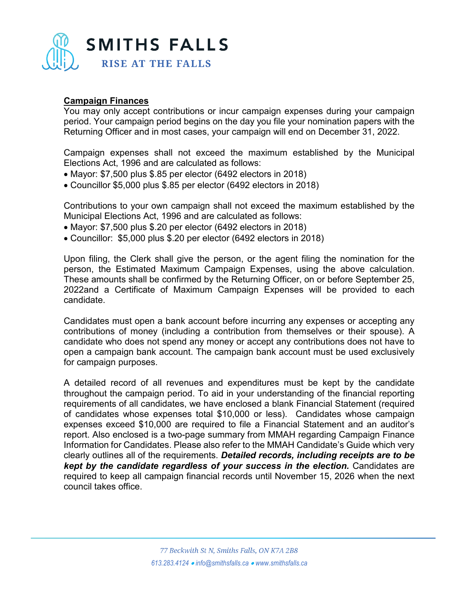

## **Campaign Finances**

You may only accept contributions or incur campaign expenses during your campaign period. Your campaign period begins on the day you file your nomination papers with the Returning Officer and in most cases, your campaign will end on December 31, 2022.

Campaign expenses shall not exceed the maximum established by the Municipal Elections Act, 1996 and are calculated as follows:

- Mayor: \$7,500 plus \$.85 per elector (6492 electors in 2018)
- Councillor \$5,000 plus \$.85 per elector (6492 electors in 2018)

Contributions to your own campaign shall not exceed the maximum established by the Municipal Elections Act, 1996 and are calculated as follows:

- Mayor: \$7,500 plus \$.20 per elector (6492 electors in 2018)
- Councillor: \$5,000 plus \$.20 per elector (6492 electors in 2018)

Upon filing, the Clerk shall give the person, or the agent filing the nomination for the person, the Estimated Maximum Campaign Expenses, using the above calculation. These amounts shall be confirmed by the Returning Officer, on or before September 25, 2022and a Certificate of Maximum Campaign Expenses will be provided to each candidate.

Candidates must open a bank account before incurring any expenses or accepting any contributions of money (including a contribution from themselves or their spouse). A candidate who does not spend any money or accept any contributions does not have to open a campaign bank account. The campaign bank account must be used exclusively for campaign purposes.

A detailed record of all revenues and expenditures must be kept by the candidate throughout the campaign period. To aid in your understanding of the financial reporting requirements of all candidates, we have enclosed a blank Financial Statement (required of candidates whose expenses total \$10,000 or less). Candidates whose campaign expenses exceed \$10,000 are required to file a Financial Statement and an auditor's report. Also enclosed is a two-page summary from MMAH regarding Campaign Finance Information for Candidates. Please also refer to the MMAH Candidate's Guide which very clearly outlines all of the requirements. *Detailed records, including receipts are to be kept by the candidate regardless of your success in the election.* Candidates are required to keep all campaign financial records until November 15, 2026 when the next council takes office.